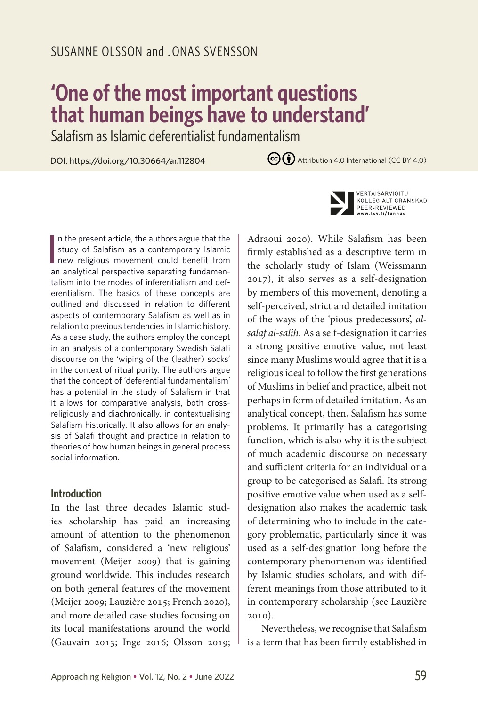# **'One of the most important questions that human beings have to understand'**

Salafism as Islamic deferentialist fundamentalism

DOI: https://doi.org/10.30664/ar.112804

 $\left(\overline{cc}\right)\overline{A}$  Attribution 4.0 International (CC BY 4.0)



#### **Introduction**

In the last three decades Islamic studies scholarship has paid an increasing amount of attention to the phenomenon of Salafism, considered a 'new religious' movement (Meijer 2009) that is gaining ground worldwide. This includes research on both general features of the movement (Meijer 2009; Lauzière 2015; French 2020), and more detailed case studies focusing on its local manifestations around the world (Gauvain 2013; Inge 2016; Olsson 2019;



VERTAISARVIOITU KOLLEGIALT GRANSKAD PEER-REVIEWED w.tsv.fi/tunnus

Adraoui 2020). While Salafism has been firmly established as a descriptive term in the scholarly study of Islam (Weissmann 2017), it also serves as a self-designation by members of this movement, denoting a self-perceived, strict and detailed imitation of the ways of the 'pious predecessors', *alsalaf al-salih*. As a self-designation it carries a strong positive emotive value, not least since many Muslims would agree that it is a religious ideal to follow the first generations of Muslims in belief and practice, albeit not perhaps in form of detailed imitation. As an analytical concept, then, Salafism has some problems. It primarily has a categorising function, which is also why it is the subject of much academic discourse on necessary and sufficient criteria for an individual or a group to be categorised as Salafi. Its strong positive emotive value when used as a selfdesignation also makes the academic task of determining who to include in the category problematic, particularly since it was used as a self-designation long before the contemporary phenomenon was identified by Islamic studies scholars, and with different meanings from those attributed to it in contemporary scholarship (see Lauzière 2010).

Nevertheless, we recognise that Salafism is a term that has been firmly established in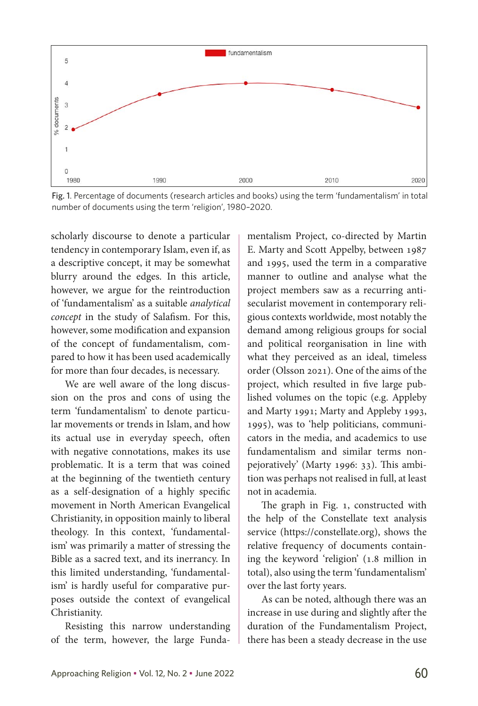

Fig. 1. Percentage of documents (research articles and books) using the term 'fundamentalism' in total number of documents using the term 'religion', 1980–2020.

scholarly discourse to denote a particular tendency in contemporary Islam, even if, as a descriptive concept, it may be somewhat blurry around the edges. In this article, however, we argue for the reintroduction of 'fundamentalism' as a suitable *analytical concept* in the study of Salafism. For this, however, some modification and expansion of the concept of fundamentalism, compared to how it has been used academically for more than four decades, is necessary.

We are well aware of the long discussion on the pros and cons of using the term 'fundamentalism' to denote particular movements or trends in Islam, and how its actual use in everyday speech, often with negative connotations, makes its use problematic. It is a term that was coined at the beginning of the twentieth century as a self-designation of a highly specific movement in North American Evangelical Christianity, in opposition mainly to liberal theology. In this context, 'fundamentalism' was primarily a matter of stressing the Bible as a sacred text, and its inerrancy. In this limited understanding, 'fundamentalism' is hardly useful for comparative purposes outside the context of evangelical Christianity.

Resisting this narrow understanding of the term, however, the large Fundamentalism Project, co-directed by Martin E. Marty and Scott Appelby, between 1987 and 1995, used the term in a comparative manner to outline and analyse what the project members saw as a recurring antisecularist movement in contemporary religious contexts worldwide, most notably the demand among religious groups for social and political reorganisation in line with what they perceived as an ideal, timeless order (Olsson 2021). One of the aims of the project, which resulted in five large published volumes on the topic (e.g. Appleby and Marty 1991; Marty and Appleby 1993, 1995), was to 'help politicians, communicators in the media, and academics to use fundamentalism and similar terms nonpejoratively' (Marty 1996: 33). This ambition was perhaps not realised in full, at least not in academia.

The graph in Fig. 1, constructed with the help of the Constellate text analysis service (https://constellate.org), shows the relative frequency of documents containing the keyword 'religion' (1.8 million in total), also using the term 'fundamentalism' over the last forty years.

As can be noted, although there was an increase in use during and slightly after the duration of the Fundamentalism Project, there has been a steady decrease in the use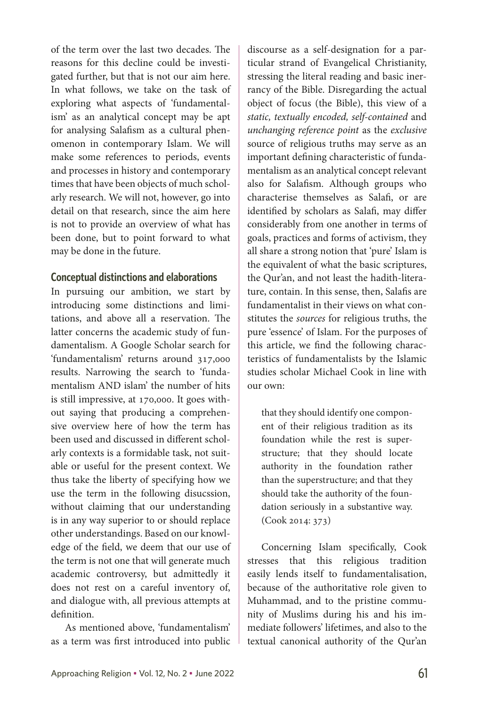of the term over the last two decades. The reasons for this decline could be investigated further, but that is not our aim here. In what follows, we take on the task of exploring what aspects of 'fundamentalism' as an analytical concept may be apt for analysing Salafism as a cultural phenomenon in contemporary Islam. We will make some references to periods, events and processes in history and contemporary times that have been objects of much scholarly research. We will not, however, go into detail on that research, since the aim here is not to provide an overview of what has been done, but to point forward to what may be done in the future.

#### **Conceptual distinctions and elaborations**

In pursuing our ambition, we start by introducing some distinctions and limitations, and above all a reservation. The latter concerns the academic study of fundamentalism. A Google Scholar search for 'fundamentalism' returns around 317,000 results. Narrowing the search to 'fundamentalism AND islam' the number of hits is still impressive, at 170,000. It goes without saying that producing a comprehensive overview here of how the term has been used and discussed in different scholarly contexts is a formidable task, not suitable or useful for the present context. We thus take the liberty of specifying how we use the term in the following disucssion, without claiming that our understanding is in any way superior to or should replace other understandings. Based on our knowledge of the field, we deem that our use of the term is not one that will generate much academic controversy, but admittedly it does not rest on a careful inventory of, and dialogue with, all previous attempts at definition.

As mentioned above, 'fundamentalism' as a term was first introduced into public discourse as a self-designation for a particular strand of Evangelical Christianity, stressing the literal reading and basic inerrancy of the Bible. Disregarding the actual object of focus (the Bible), this view of a *static, textually encoded, self-contained* and *unchanging reference point* as the *exclusive* source of religious truths may serve as an important defining characteristic of fundamentalism as an analytical concept relevant also for Salafism. Although groups who characterise themselves as Salafi, or are identified by scholars as Salafi, may differ considerably from one another in terms of goals, practices and forms of activism, they all share a strong notion that 'pure' Islam is the equivalent of what the basic scriptures, the Qur'an, and not least the hadith-literature, contain. In this sense, then, Salafis are fundamentalist in their views on what constitutes the *sources* for religious truths, the pure 'essence' of Islam. For the purposes of this article, we find the following characteristics of fundamentalists by the Islamic studies scholar Michael Cook in line with our own:

that they should identify one component of their religious tradition as its foundation while the rest is superstructure; that they should locate authority in the foundation rather than the superstructure; and that they should take the authority of the foundation seriously in a substantive way. (Cook 2014: 373)

Concerning Islam specifically, Cook stresses that this religious tradition easily lends itself to fundamentalisation, because of the authoritative role given to Muhammad, and to the pristine community of Muslims during his and his immediate followers' lifetimes, and also to the textual canonical authority of the Qur'an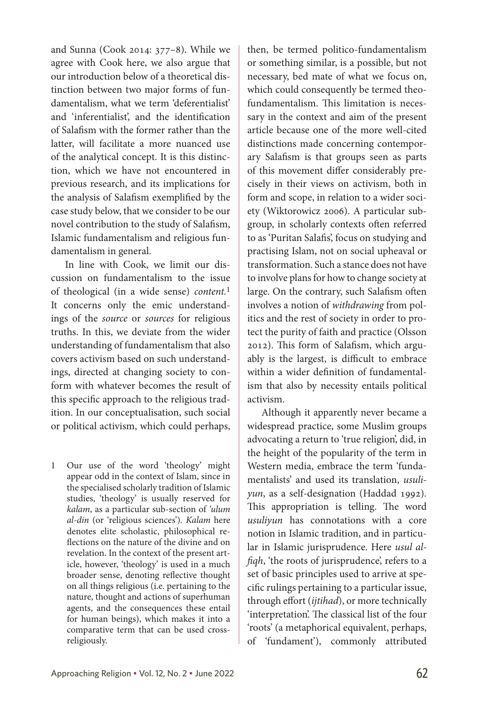and Sunna (Cook 2014: 377–8). While we agree with Cook here, we also argue that our introduction below of a theoretical distinction between two major forms of fundamentalism, what we term 'deferentialist' and 'inferentialist', and the identification of Salafism with the former rather than the latter, will facilitate a more nuanced use of the analytical concept. It is this distinction, which we have not encountered in previous research, and its implications for the analysis of Salafism exemplified by the case study below, that we consider to be our novel contribution to the study of Salafism, Islamic fundamentalism and religious fundamentalism in general.

In line with Cook, we limit our discussion on fundamentalism to the issue of theological (in a wide sense) *content.*1 It concerns only the emic understandings of the *source* or *sources* for religious truths. In this, we deviate from the wider understanding of fundamentalism that also covers activism based on such understandings, directed at changing society to conform with whatever becomes the result of this specific approach to the religious tradition. In our conceptualisation, such social or political activism, which could perhaps,

1 Our use of the word 'theology' might appear odd in the context of Islam, since in the specialised scholarly tradition of Islamic studies, 'theology' is usually reserved for *kalam*, as a particular sub-section of *'ulum al-din* (or 'religious sciences')*. Kalam* here denotes elite scholastic, philosophical reflections on the nature of the divine and on revelation. In the context of the present article, however, 'theology' is used in a much broader sense, denoting reflective thought on all things religious (i.e. pertaining to the nature, thought and actions of superhuman agents, and the consequences these entail for human beings), which makes it into a comparative term that can be used crossreligiously.

then, be termed politico-fundamentalism or something similar, is a possible, but not necessary, bed mate of what we focus on, which could consequently be termed theofundamentalism. This limitation is necessary in the context and aim of the present article because one of the more well-cited distinctions made concerning contemporary Salafism is that groups seen as parts of this movement differ considerably precisely in their views on activism, both in form and scope, in relation to a wider society (Wiktorowicz 2006). A particular subgroup, in scholarly contexts often referred to as 'Puritan Salafis', focus on studying and practising Islam, not on social upheaval or transformation. Such a stance does not have to involve plans for how to change society at large. On the contrary, such Salafism often involves a notion of *withdrawing* from politics and the rest of society in order to protect the purity of faith and practice (Olsson 2012). This form of Salafism, which arguably is the largest, is difficult to embrace within a wider definition of fundamentalism that also by necessity entails political activism.

Although it apparently never became a widespread practice, some Muslim groups advocating a return to 'true religion', did, in the height of the popularity of the term in Western media, embrace the term 'fundamentalists' and used its translation, *usuliyun*, as a self-designation (Haddad 1992)*.*  This appropriation is telling. The word *usuliyun* has connotations with a core notion in Islamic tradition, and in particular in Islamic jurisprudence. Here *usul alfiqh*, 'the roots of jurisprudence', refers to a set of basic principles used to arrive at specific rulings pertaining to a particular issue, through effort (*ijtihad*), or more technically 'interpretation'. The classical list of the four 'roots' (a metaphorical equivalent, perhaps, of 'fundament'), commonly attributed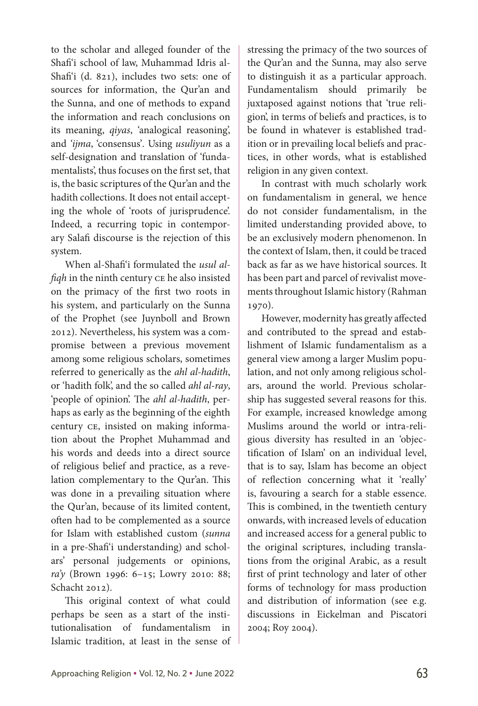to the scholar and alleged founder of the Shafi'i school of law, Muhammad Idris al-Shafi'i (d. 821), includes two sets: one of sources for information, the Qur'an and the Sunna, and one of methods to expand the information and reach conclusions on its meaning, *qiyas*, 'analogical reasoning', and *'ijma*, 'consensus'*.* Using *usuliyun* as a self-designation and translation of 'fundamentalists', thus focuses on the first set, that is, the basic scriptures of the Qur'an and the hadith collections. It does not entail accepting the whole of 'roots of jurisprudence'. Indeed, a recurring topic in contemporary Salafi discourse is the rejection of this system.

When al-Shafi'i formulated the *usul alfiqh* in the ninth century CE he also insisted on the primacy of the first two roots in his system, and particularly on the Sunna of the Prophet (see Juynboll and Brown 2012). Nevertheless, his system was a compromise between a previous movement among some religious scholars, sometimes referred to generically as the *ahl al-hadith*, or 'hadith folk', and the so called *ahl al-ray*, 'people of opinion'. The *ahl al-hadith*, perhaps as early as the beginning of the eighth century ce, insisted on making information about the Prophet Muhammad and his words and deeds into a direct source of religious belief and practice, as a revelation complementary to the Qur'an. This was done in a prevailing situation where the Qur'an, because of its limited content, often had to be complemented as a source for Islam with established custom (*sunna*  in a pre-Shafi'i understanding) and scholars' personal judgements or opinions, *ra'y* (Brown 1996: 6–15; Lowry 2010: 88; Schacht 2012).

This original context of what could perhaps be seen as a start of the institutionalisation of fundamentalism in Islamic tradition, at least in the sense of stressing the primacy of the two sources of the Qur'an and the Sunna, may also serve to distinguish it as a particular approach. Fundamentalism should primarily be juxtaposed against notions that 'true religion', in terms of beliefs and practices, is to be found in whatever is established tradition or in prevailing local beliefs and practices, in other words, what is established religion in any given context.

In contrast with much scholarly work on fundamentalism in general, we hence do not consider fundamentalism, in the limited understanding provided above, to be an exclusively modern phenomenon. In the context of Islam, then, it could be traced back as far as we have historical sources. It has been part and parcel of revivalist movements throughout Islamic history (Rahman 1970).

However, modernity has greatly affected and contributed to the spread and establishment of Islamic fundamentalism as a general view among a larger Muslim population, and not only among religious scholars, around the world. Previous scholarship has suggested several reasons for this. For example, increased knowledge among Muslims around the world or intra-religious diversity has resulted in an 'objectification of Islam' on an individual level, that is to say, Islam has become an object of reflection concerning what it 'really' is, favouring a search for a stable essence. This is combined, in the twentieth century onwards, with increased levels of education and increased access for a general public to the original scriptures, including translations from the original Arabic, as a result first of print technology and later of other forms of technology for mass production and distribution of information (see e.g. discussions in Eickelman and Piscatori 2004; Roy 2004).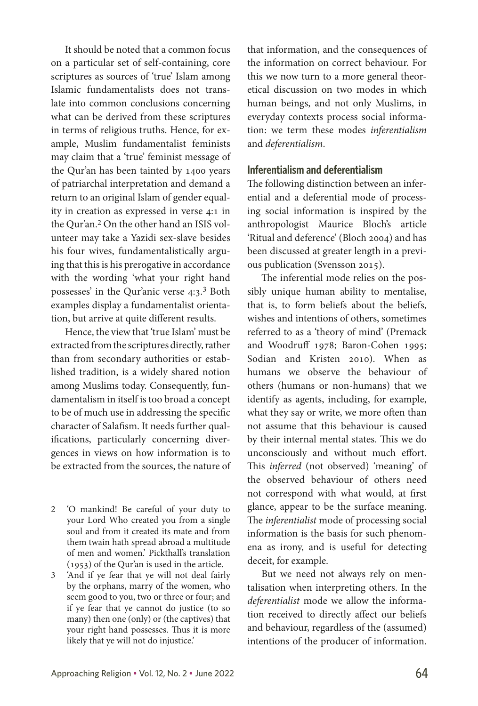It should be noted that a common focus on a particular set of self-containing, core scriptures as sources of 'true' Islam among Islamic fundamentalists does not translate into common conclusions concerning what can be derived from these scriptures in terms of religious truths. Hence, for example, Muslim fundamentalist feminists may claim that a 'true' feminist message of the Qur'an has been tainted by 1400 years of patriarchal interpretation and demand a return to an original Islam of gender equality in creation as expressed in verse 4:1 in the Qur'an.2 On the other hand an ISIS volunteer may take a Yazidi sex-slave besides his four wives, fundamentalistically arguing that this is his prerogative in accordance with the wording 'what your right hand possesses' in the Qur'anic verse 4:3. 3 Both examples display a fundamentalist orientation, but arrive at quite different results.

Hence, the view that 'true Islam' must be extracted from the scriptures directly, rather than from secondary authorities or established tradition, is a widely shared notion among Muslims today. Consequently, fundamentalism in itself is too broad a concept to be of much use in addressing the specific character of Salafism. It needs further qualifications, particularly concerning divergences in views on how information is to be extracted from the sources, the nature of

2 'O mankind! Be careful of your duty to your Lord Who created you from a single soul and from it created its mate and from them twain hath spread abroad a multitude of men and women.' Pickthall's translation (1953) of the Qur'an is used in the article.

3 'And if ye fear that ye will not deal fairly by the orphans, marry of the women, who seem good to you, two or three or four; and if ye fear that ye cannot do justice (to so many) then one (only) or (the captives) that your right hand possesses. Thus it is more likely that ye will not do injustice.'

that information, and the consequences of the information on correct behaviour. For this we now turn to a more general theoretical discussion on two modes in which human beings, and not only Muslims, in everyday contexts process social information: we term these modes *inferentialism* and *deferentialism*.

#### **Inferentialism and deferentialism**

The following distinction between an inferential and a deferential mode of processing social information is inspired by the anthropologist Maurice Bloch's article 'Ritual and deference' (Bloch 2004) and has been discussed at greater length in a previous publication (Svensson 2015).

The inferential mode relies on the possibly unique human ability to mentalise, that is, to form beliefs about the beliefs, wishes and intentions of others, sometimes referred to as a 'theory of mind' (Premack and Woodruff 1978; Baron-Cohen 1995; Sodian and Kristen 2010). When as humans we observe the behaviour of others (humans or non-humans) that we identify as agents, including, for example, what they say or write, we more often than not assume that this behaviour is caused by their internal mental states. This we do unconsciously and without much effort. This *inferred* (not observed) 'meaning' of the observed behaviour of others need not correspond with what would, at first glance, appear to be the surface meaning. The *inferentialist* mode of processing social information is the basis for such phenomena as irony, and is useful for detecting deceit, for example.

But we need not always rely on mentalisation when interpreting others. In the *deferentialist* mode we allow the information received to directly affect our beliefs and behaviour, regardless of the (assumed) intentions of the producer of information.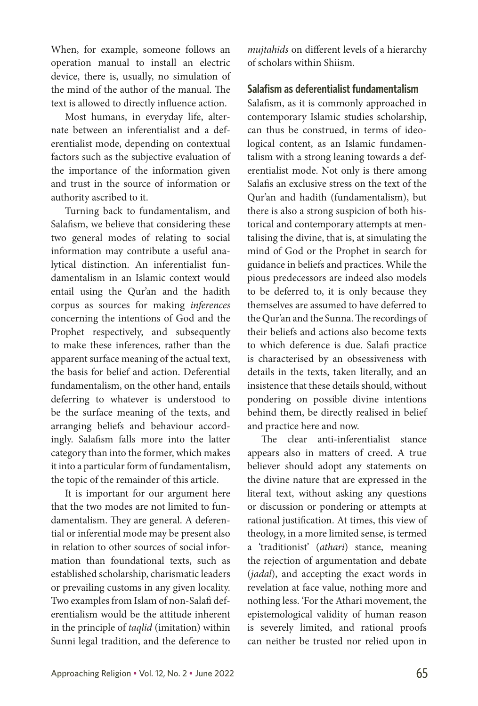When, for example, someone follows an operation manual to install an electric device, there is, usually, no simulation of the mind of the author of the manual. The text is allowed to directly influence action.

Most humans, in everyday life, alternate between an inferentialist and a deferentialist mode, depending on contextual factors such as the subjective evaluation of the importance of the information given and trust in the source of information or authority ascribed to it.

Turning back to fundamentalism, and Salafism, we believe that considering these two general modes of relating to social information may contribute a useful analytical distinction. An inferentialist fundamentalism in an Islamic context would entail using the Qur'an and the hadith corpus as sources for making *inferences*  concerning the intentions of God and the Prophet respectively, and subsequently to make these inferences, rather than the apparent surface meaning of the actual text, the basis for belief and action. Deferential fundamentalism, on the other hand, entails deferring to whatever is understood to be the surface meaning of the texts, and arranging beliefs and behaviour accordingly. Salafism falls more into the latter category than into the former, which makes it into a particular form of fundamentalism, the topic of the remainder of this article.

It is important for our argument here that the two modes are not limited to fundamentalism. They are general. A deferential or inferential mode may be present also in relation to other sources of social information than foundational texts, such as established scholarship, charismatic leaders or prevailing customs in any given locality. Two examples from Islam of non-Salafi deferentialism would be the attitude inherent in the principle of *taqlid* (imitation) within Sunni legal tradition, and the deference to *mujtahids* on different levels of a hierarchy of scholars within Shiism.

### **Salafism as deferentialist fundamentalism**

Salafism, as it is commonly approached in contemporary Islamic studies scholarship, can thus be construed, in terms of ideological content, as an Islamic fundamentalism with a strong leaning towards a deferentialist mode. Not only is there among Salafis an exclusive stress on the text of the Qur'an and hadith (fundamentalism), but there is also a strong suspicion of both historical and contemporary attempts at mentalising the divine, that is, at simulating the mind of God or the Prophet in search for guidance in beliefs and practices. While the pious predecessors are indeed also models to be deferred to, it is only because they themselves are assumed to have deferred to the Qur'an and the Sunna. The recordings of their beliefs and actions also become texts to which deference is due. Salafi practice is characterised by an obsessiveness with details in the texts, taken literally, and an insistence that these details should, without pondering on possible divine intentions behind them, be directly realised in belief and practice here and now.

The clear anti-inferentialist stance appears also in matters of creed. A true believer should adopt any statements on the divine nature that are expressed in the literal text, without asking any questions or discussion or pondering or attempts at rational justification. At times, this view of theology, in a more limited sense, is termed a 'traditionist' (*athari*) stance, meaning the rejection of argumentation and debate (*jadal*), and accepting the exact words in revelation at face value, nothing more and nothing less. 'For the Athari movement, the epistemological validity of human reason is severely limited, and rational proofs can neither be trusted nor relied upon in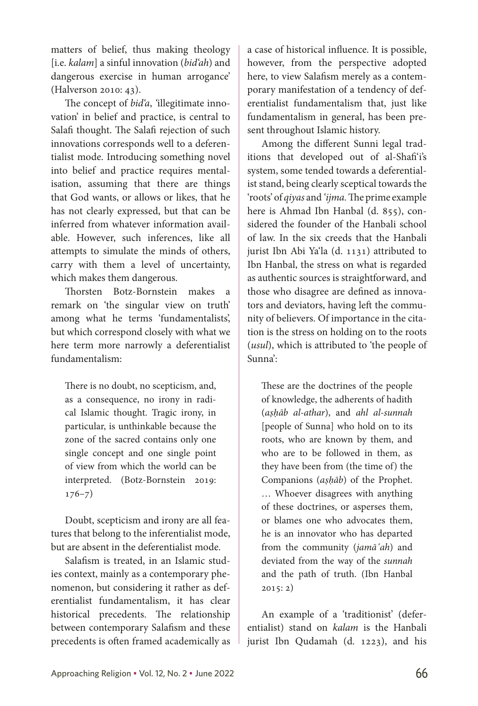matters of belief, thus making theology [i.e. *kalam*] a sinful innovation (*bid'ah*) and dangerous exercise in human arrogance' (Halverson 2010: 43).

The concept of *bid'a*, *'*illegitimate innovation' in belief and practice, is central to Salafi thought. The Salafi rejection of such innovations corresponds well to a deferentialist mode. Introducing something novel into belief and practice requires mentalisation, assuming that there are things that God wants, or allows or likes, that he has not clearly expressed, but that can be inferred from whatever information available. However, such inferences, like all attempts to simulate the minds of others, carry with them a level of uncertainty, which makes them dangerous.

Thorsten Botz-Bornstein makes a remark on 'the singular view on truth' among what he terms 'fundamentalists', but which correspond closely with what we here term more narrowly a deferentialist fundamentalism:

There is no doubt, no scepticism, and, as a consequence, no irony in radical Islamic thought. Tragic irony, in particular, is unthinkable because the zone of the sacred contains only one single concept and one single point of view from which the world can be interpreted. (Botz-Bornstein 2019: 176–7)

Doubt, scepticism and irony are all features that belong to the inferentialist mode, but are absent in the deferentialist mode.

Salafism is treated, in an Islamic studies context, mainly as a contemporary phenomenon, but considering it rather as deferentialist fundamentalism, it has clear historical precedents. The relationship between contemporary Salafism and these precedents is often framed academically as a case of historical influence. It is possible, however, from the perspective adopted here, to view Salafism merely as a contemporary manifestation of a tendency of deferentialist fundamentalism that, just like fundamentalism in general, has been present throughout Islamic history.

Among the different Sunni legal traditions that developed out of al-Shafi'i's system, some tended towards a deferentialist stand, being clearly sceptical towards the 'roots' of *qiyas* and *'ijma.* The prime example here is Ahmad Ibn Hanbal (d. 855), considered the founder of the Hanbali school of law. In the six creeds that the Hanbali jurist Ibn Abi Ya'la (d. 1131) attributed to Ibn Hanbal, the stress on what is regarded as authentic sources is straightforward, and those who disagree are defined as innovators and deviators, having left the community of believers. Of importance in the citation is the stress on holding on to the roots (*usul*), which is attributed to 'the people of Sunna':

These are the doctrines of the people of knowledge, the adherents of hadith (*aṣḥāb al-athar*), and *ahl al-sunnah*  [people of Sunna] who hold on to its roots, who are known by them, and who are to be followed in them, as they have been from (the time of) the Companions (*aṣḥāb*) of the Prophet. … Whoever disagrees with anything of these doctrines, or asperses them, or blames one who advocates them, he is an innovator who has departed from the community (*jamā'ah*) and deviated from the way of the *sunnah*  and the path of truth. (Ibn Hanbal 2015: 2)

An example of a 'traditionist' (deferentialist) stand on *kalam* is the Hanbali jurist Ibn Qudamah (d. 1223), and his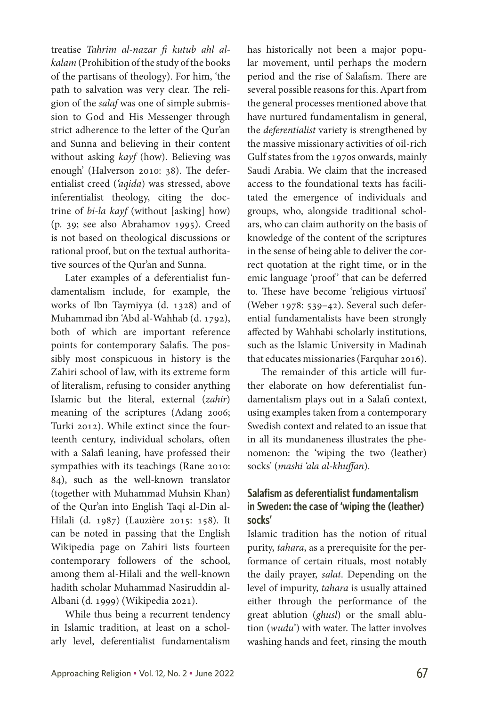treatise *Tahrim al-nazar fi kutub ahl alkalam* (Prohibition of the study of the books of the partisans of theology). For him, 'the path to salvation was very clear. The religion of the *salaf* was one of simple submission to God and His Messenger through strict adherence to the letter of the Qur'an and Sunna and believing in their content without asking *kayf* (how). Believing was enough' (Halverson 2010: 38). The deferentialist creed (*'aqida*) was stressed, above inferentialist theology, citing the doctrine of *bi-la kayf* (without [asking] how) (p. 39; see also Abrahamov 1995). Creed is not based on theological discussions or rational proof, but on the textual authoritative sources of the Qur'an and Sunna.

Later examples of a deferentialist fundamentalism include, for example, the works of Ibn Taymiyya (d. 1328) and of Muhammad ibn 'Abd al-Wahhab (d. 1792), both of which are important reference points for contemporary Salafis. The possibly most conspicuous in history is the Zahiri school of law, with its extreme form of literalism, refusing to consider anything Islamic but the literal, external (*zahir*) meaning of the scriptures (Adang 2006; Turki 2012). While extinct since the fourteenth century, individual scholars, often with a Salafi leaning, have professed their sympathies with its teachings (Rane 2010: 84), such as the well-known translator (together with Muhammad Muhsin Khan) of the Qur'an into English Taqi al-Din al-Hilali (d. 1987) (Lauzière 2015: 158). It can be noted in passing that the English Wikipedia page on Zahiri lists fourteen contemporary followers of the school, among them al-Hilali and the well-known hadith scholar Muhammad Nasiruddin al-Albani (d. 1999) (Wikipedia 2021).

While thus being a recurrent tendency in Islamic tradition, at least on a scholarly level, deferentialist fundamentalism has historically not been a major popular movement, until perhaps the modern period and the rise of Salafism. There are several possible reasons for this. Apart from the general processes mentioned above that have nurtured fundamentalism in general, the *deferentialist* variety is strengthened by the massive missionary activities of oil-rich Gulf states from the 1970s onwards, mainly Saudi Arabia. We claim that the increased access to the foundational texts has facilitated the emergence of individuals and groups, who, alongside traditional scholars, who can claim authority on the basis of knowledge of the content of the scriptures in the sense of being able to deliver the correct quotation at the right time, or in the emic language 'proof' that can be deferred to. These have become 'religious virtuosi' (Weber 1978: 539–42). Several such deferential fundamentalists have been strongly affected by Wahhabi scholarly institutions, such as the Islamic University in Madinah that educates missionaries (Farquhar 2016).

The remainder of this article will further elaborate on how deferentialist fundamentalism plays out in a Salafi context, using examples taken from a contemporary Swedish context and related to an issue that in all its mundaneness illustrates the phenomenon: the 'wiping the two (leather) socks' (*mashi 'ala al-khuffan*).

## **Salafism as deferentialist fundamentalism in Sweden: the case of 'wiping the (leather) socks'**

Islamic tradition has the notion of ritual purity, *tahara*, as a prerequisite for the performance of certain rituals, most notably the daily prayer, *salat*. Depending on the level of impurity, *tahara* is usually attained either through the performance of the great ablution (*ghusl*) or the small ablution (*wudu*') with water. The latter involves washing hands and feet, rinsing the mouth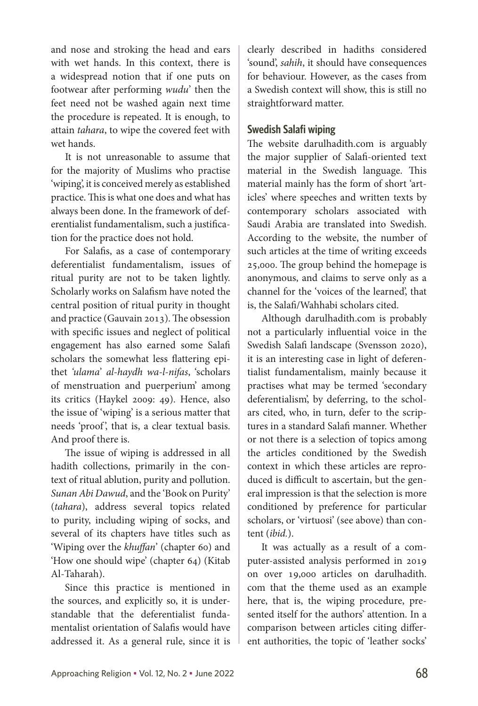and nose and stroking the head and ears with wet hands. In this context, there is a widespread notion that if one puts on footwear after performing *wudu*' then the feet need not be washed again next time the procedure is repeated. It is enough, to attain *tahara*, to wipe the covered feet with wet hands.

It is not unreasonable to assume that for the majority of Muslims who practise 'wiping', it is conceived merely as established practice. This is what one does and what has always been done. In the framework of deferentialist fundamentalism, such a justification for the practice does not hold.

For Salafis, as a case of contemporary deferentialist fundamentalism, issues of ritual purity are not to be taken lightly. Scholarly works on Salafism have noted the central position of ritual purity in thought and practice (Gauvain 2013). The obsession with specific issues and neglect of political engagement has also earned some Salafi scholars the somewhat less flattering epithet *'ulama*' *al-haydh wa-l-nifas*, 'scholars of menstruation and puerperium' among its critics (Haykel 2009: 49). Hence, also the issue of 'wiping' is a serious matter that needs 'proof', that is, a clear textual basis. And proof there is.

The issue of wiping is addressed in all hadith collections, primarily in the context of ritual ablution, purity and pollution. *Sunan Abi Dawud*, and the 'Book on Purity' (*tahara*), address several topics related to purity, including wiping of socks, and several of its chapters have titles such as 'Wiping over the *khuffan*' (chapter 60) and 'How one should wipe' (chapter 64) (Kitab Al-Taharah).

Since this practice is mentioned in the sources, and explicitly so, it is under standable that the deferentialist fundamentalist orientation of Salafis would have addressed it. As a general rule, since it is clearly described in hadiths considered 'sound', *sahih*, it should have consequences for behaviour. However, as the cases from a Swedish context will show, this is still no straightforward matter.

## **Swedish Salafi wiping**

The website darulhadith.com is arguably the major supplier of Salafi-oriented text material in the Swedish language. This material mainly has the form of short 'articles' where speeches and written texts by contemporary scholars associated with Saudi Arabia are translated into Swedish. According to the website, the number of such articles at the time of writing exceeds 25,000. The group behind the homepage is anonymous, and claims to serve only as a channel for the 'voices of the learned', that is, the Salafi/Wahhabi scholars cited.

Although darulhadith.com is probably not a particularly influential voice in the Swedish Salafi landscape (Svensson 2020), it is an interesting case in light of deferentialist fundamentalism, mainly because it practises what may be termed 'secondary deferentialism', by deferring, to the scholars cited, who, in turn, defer to the scriptures in a standard Salafi manner. Whether or not there is a selection of topics among the articles conditioned by the Swedish context in which these articles are reproduced is difficult to ascertain, but the general impression is that the selection is more conditioned by preference for particular scholars, or 'virtuosi' (see above) than content (*ibid.*).

It was actually as a result of a computer-assisted analysis performed in 2019 on over 19,000 articles on darulhadith. com that the theme used as an example here, that is, the wiping procedure, presented itself for the authors' attention. In a comparison between articles citing different authorities, the topic of 'leather socks'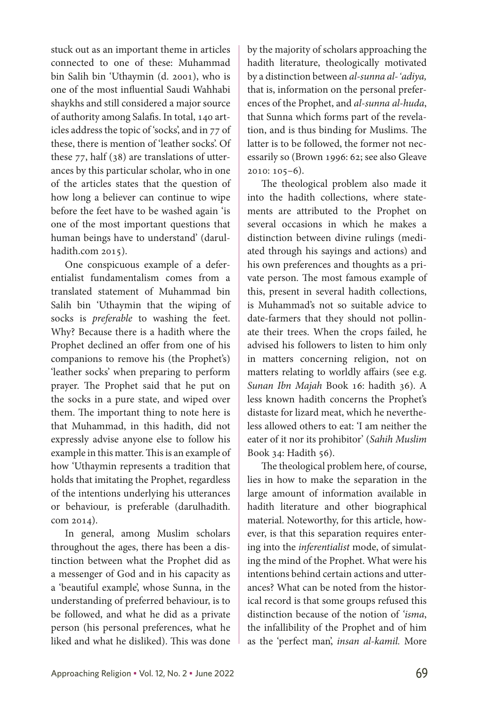stuck out as an important theme in articles connected to one of these: Muhammad bin Salih bin 'Uthaymin (d. 2001), who is one of the most influential Saudi Wahhabi shaykhs and still considered a major source of authority among Salafis. In total, 140 articles address the topic of 'socks', and in 77 of these, there is mention of 'leather socks'. Of these 77, half (38) are translations of utterances by this particular scholar, who in one of the articles states that the question of how long a believer can continue to wipe before the feet have to be washed again 'is one of the most important questions that human beings have to understand' (darulhadith.com 2015).

One conspicuous example of a deferentialist fundamentalism comes from a translated statement of Muhammad bin Salih bin 'Uthaymin that the wiping of socks is *preferable* to washing the feet. Why? Because there is a hadith where the Prophet declined an offer from one of his companions to remove his (the Prophet's) 'leather socks' when preparing to perform prayer. The Prophet said that he put on the socks in a pure state, and wiped over them. The important thing to note here is that Muhammad, in this hadith, did not expressly advise anyone else to follow his example in this matter. This is an example of how 'Uthaymin represents a tradition that holds that imitating the Prophet, regardless of the intentions underlying his utterances or behaviour, is preferable (darulhadith. com 2014).

In general, among Muslim scholars throughout the ages, there has been a distinction between what the Prophet did as a messenger of God and in his capacity as a 'beautiful example', whose Sunna, in the understanding of preferred behaviour, is to be followed, and what he did as a private person (his personal preferences, what he liked and what he disliked). This was done by the majority of scholars approaching the hadith literature, theologically motivated by a distinction between *al-sunna al-'adiya,*  that is, information on the personal preferences of the Prophet, and *al-sunna al-huda*, that Sunna which forms part of the revelation, and is thus binding for Muslims. The latter is to be followed, the former not necessarily so (Brown 1996: 62; see also Gleave 2010: 105–6).

The theological problem also made it into the hadith collections, where statements are attributed to the Prophet on several occasions in which he makes a distinction between divine rulings (mediated through his sayings and actions) and his own preferences and thoughts as a private person. The most famous example of this, present in several hadith collections, is Muhammad's not so suitable advice to date-farmers that they should not pollinate their trees. When the crops failed, he advised his followers to listen to him only in matters concerning religion, not on matters relating to worldly affairs (see e.g. *Sunan Ibn Majah* Book 16: hadith 36). A less known hadith concerns the Prophet's distaste for lizard meat, which he nevertheless allowed others to eat: 'I am neither the eater of it nor its prohibitor' (*Sahih Muslim* Book 34: Hadith 56).

The theological problem here, of course, lies in how to make the separation in the large amount of information available in hadith literature and other biographical material. Noteworthy, for this article, however, is that this separation requires entering into the *inferentialist* mode, of simulating the mind of the Prophet. What were his intentions behind certain actions and utterances? What can be noted from the historical record is that some groups refused this distinction because of the notion of *'isma*, the infallibility of the Prophet and of him as the 'perfect man', *insan al-kamil.* More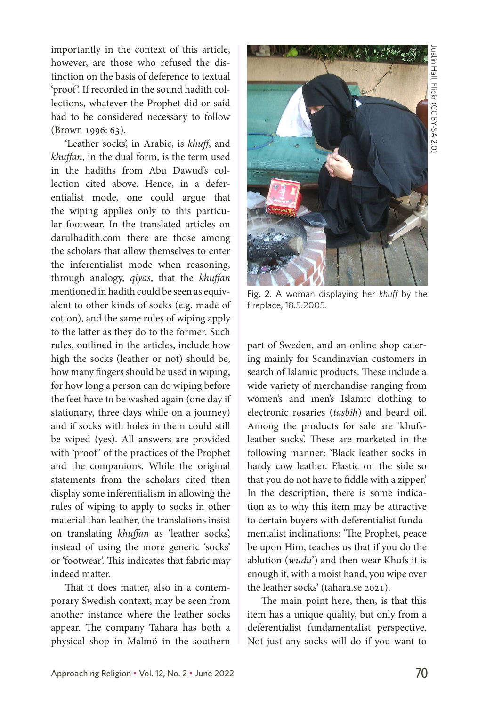importantly in the context of this article, however, are those who refused the distinction on the basis of deference to textual 'proof '. If recorded in the sound hadith collections, whatever the Prophet did or said had to be considered necessary to follow (Brown 1996: 63).

'Leather socks', in Arabic, is *khuff*, and *khuffan*, in the dual form, is the term used in the hadiths from Abu Dawud's collection cited above. Hence, in a deferentialist mode, one could argue that the wiping applies only to this particular footwear. In the translated articles on darulhadith.com there are those among the scholars that allow themselves to enter the inferentialist mode when reasoning, through analogy, *qiyas*, that the *khuffan*  mentioned in hadith could be seen as equivalent to other kinds of socks (e.g. made of cotton), and the same rules of wiping apply to the latter as they do to the former. Such rules, outlined in the articles, include how high the socks (leather or not) should be, how many fingers should be used in wiping, for how long a person can do wiping before the feet have to be washed again (one day if stationary, three days while on a journey) and if socks with holes in them could still be wiped (yes). All answers are provided with 'proof' of the practices of the Prophet and the companions. While the original statements from the scholars cited then display some inferentialism in allowing the rules of wiping to apply to socks in other material than leather, the translations insist on translating *khuffan* as 'leather socks', instead of using the more generic 'socks' or 'footwear'. This indicates that fabric may indeed matter.

That it does matter, also in a contemporary Swedish context, may be seen from another instance where the leather socks appear. The company Tahara has both a physical shop in Malmö in the southern



Fig. 2. A woman displaying her *khuff* by the fireplace, 18.5.2005.

part of Sweden, and an online shop catering mainly for Scandinavian customers in search of Islamic products. These include a wide variety of merchandise ranging from women's and men's Islamic clothing to electronic rosaries (*tasbih*) and beard oil. Among the products for sale are 'khufsleather socks'. These are marketed in the following manner: 'Black leather socks in hardy cow leather. Elastic on the side so that you do not have to fiddle with a zipper.' In the description, there is some indication as to why this item may be attractive to certain buyers with deferentialist fundamentalist inclinations: 'The Prophet, peace be upon Him, teaches us that if you do the ablution (*wudu*') and then wear Khufs it is enough if, with a moist hand, you wipe over the leather socks' (tahara.se 2021).

The main point here, then, is that this item has a unique quality, but only from a deferentialist fundamentalist perspective. Not just any socks will do if you want to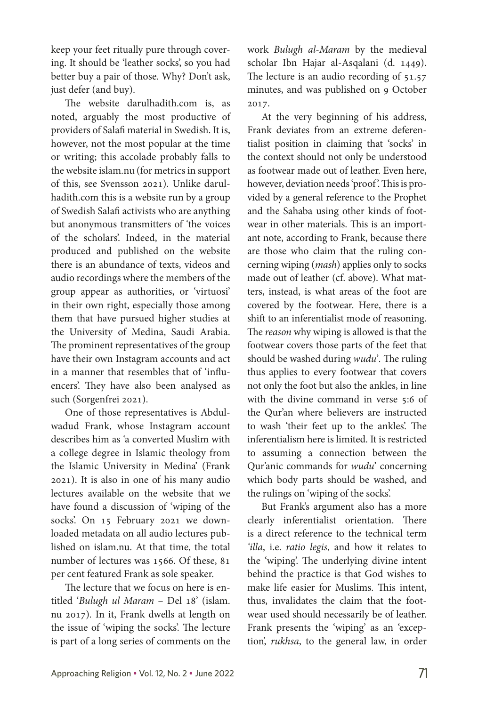keep your feet ritually pure through covering. It should be 'leather socks', so you had better buy a pair of those. Why? Don't ask, just defer (and buy).

The website darulhadith.com is, as noted, arguably the most productive of providers of Salafi material in Swedish. It is, however, not the most popular at the time or writing; this accolade probably falls to the website islam.nu (for metrics in support of this, see Svensson 2021)*.* Unlike darulhadith.com this is a website run by a group of Swedish Salafi activists who are anything but anonymous transmitters of 'the voices of the scholars'. Indeed, in the material produced and published on the website there is an abundance of texts, videos and audio recordings where the members of the group appear as authorities, or 'virtuosi' in their own right, especially those among them that have pursued higher studies at the University of Medina, Saudi Arabia. The prominent representatives of the group have their own Instagram accounts and act in a manner that resembles that of 'influencers'. They have also been analysed as such (Sorgenfrei 2021).

One of those representatives is Abdulwadud Frank, whose Instagram account describes him as 'a converted Muslim with a college degree in Islamic theology from the Islamic University in Medina' (Frank 2021). It is also in one of his many audio lectures available on the website that we have found a discussion of 'wiping of the socks'. On 15 February 2021 we downloaded metadata on all audio lectures published on islam.nu. At that time, the total number of lectures was 1566. Of these, 81 per cent featured Frank as sole speaker.

The lecture that we focus on here is entitled '*Bulugh ul Maram* – Del 18' (islam. nu 2017)*.* In it, Frank dwells at length on the issue of 'wiping the socks'. The lecture is part of a long series of comments on the work *Bulugh al-Maram* by the medieval scholar Ibn Hajar al-Asqalani (d. 1449). The lecture is an audio recording of 51.57 minutes, and was published on 9 October 2017.

At the very beginning of his address, Frank deviates from an extreme deferentialist position in claiming that 'socks' in the context should not only be understood as footwear made out of leather. Even here, however, deviation needs 'proof'. This is provided by a general reference to the Prophet and the Sahaba using other kinds of footwear in other materials. This is an important note, according to Frank, because there are those who claim that the ruling concerning wiping (*mash*) applies only to socks made out of leather (cf. above). What matters, instead, is what areas of the foot are covered by the footwear. Here, there is a shift to an inferentialist mode of reasoning. The *reason* why wiping is allowed is that the footwear covers those parts of the feet that should be washed during *wudu*'*.* The ruling thus applies to every footwear that covers not only the foot but also the ankles, in line with the divine command in verse 5:6 of the Qur'an where believers are instructed to wash 'their feet up to the ankles'. The inferentialism here is limited. It is restricted to assuming a connection between the Qur'anic commands for *wudu*' concerning which body parts should be washed, and the rulings on 'wiping of the socks'.

But Frank's argument also has a more clearly inferentialist orientation. There is a direct reference to the technical term *'illa*, i.e. *ratio legis*, and how it relates to the 'wiping'. The underlying divine intent behind the practice is that God wishes to make life easier for Muslims. This intent, thus, invalidates the claim that the footwear used should necessarily be of leather. Frank presents the 'wiping' as an 'exception', *rukhsa*, to the general law, in order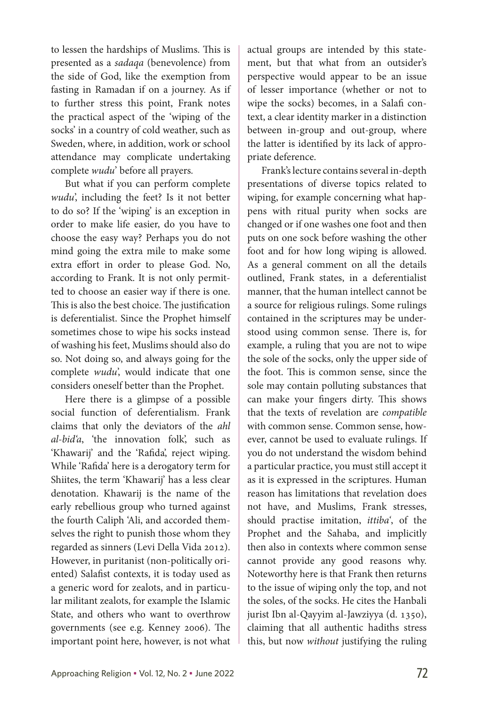to lessen the hardships of Muslims. This is presented as a *sadaqa* (benevolence) from the side of God, like the exemption from fasting in Ramadan if on a journey. As if to further stress this point, Frank notes the practical aspect of the 'wiping of the socks' in a country of cold weather, such as Sweden, where, in addition, work or school attendance may complicate undertaking complete *wudu*' before all prayers*.*

But what if you can perform complete *wudu*', including the feet? Is it not better to do so? If the 'wiping' is an exception in order to make life easier, do you have to choose the easy way? Perhaps you do not mind going the extra mile to make some extra effort in order to please God. No, according to Frank. It is not only permitted to choose an easier way if there is one. This is also the best choice. The justification is deferentialist. Since the Prophet himself sometimes chose to wipe his socks instead of washing his feet, Muslims should also do so. Not doing so, and always going for the complete *wudu*', would indicate that one considers oneself better than the Prophet.

Here there is a glimpse of a possible social function of deferentialism. Frank claims that only the deviators of the *ahl al-bid'a*, 'the innovation folk', such as 'Khawarij' and the 'Rafida', reject wiping. While 'Rafida' here is a derogatory term for Shiites, the term 'Khawarij' has a less clear denotation. Khawarij is the name of the early rebellious group who turned against the fourth Caliph 'Ali, and accorded themselves the right to punish those whom they regarded as sinners (Levi Della Vida 2012). However, in puritanist (non-politically oriented) Salafist contexts, it is today used as a generic word for zealots, and in particular militant zealots, for example the Islamic State, and others who want to overthrow governments (see e.g. Kenney 2006). The important point here, however, is not what actual groups are intended by this statement, but that what from an outsider's perspective would appear to be an issue of lesser importance (whether or not to wipe the socks) becomes, in a Salafi context, a clear identity marker in a distinction between in-group and out-group, where the latter is identified by its lack of appropriate deference.

Frank's lecture contains several in-depth presentations of diverse topics related to wiping, for example concerning what happens with ritual purity when socks are changed or if one washes one foot and then puts on one sock before washing the other foot and for how long wiping is allowed. As a general comment on all the details outlined, Frank states, in a deferentialist manner, that the human intellect cannot be a source for religious rulings. Some rulings contained in the scriptures may be understood using common sense. There is, for example, a ruling that you are not to wipe the sole of the socks, only the upper side of the foot. This is common sense, since the sole may contain polluting substances that can make your fingers dirty. This shows that the texts of revelation are *compatible*  with common sense. Common sense, however, cannot be used to evaluate rulings. If you do not understand the wisdom behind a particular practice, you must still accept it as it is expressed in the scriptures. Human reason has limitations that revelation does not have, and Muslims, Frank stresses, should practise imitation, *ittiba'*, of the Prophet and the Sahaba, and implicitly then also in contexts where common sense cannot provide any good reasons why. Noteworthy here is that Frank then returns to the issue of wiping only the top, and not the soles, of the socks. He cites the Hanbali jurist Ibn al-Qayyim al-Jawziyya (d. 1350), claiming that all authentic hadiths stress this, but now *without* justifying the ruling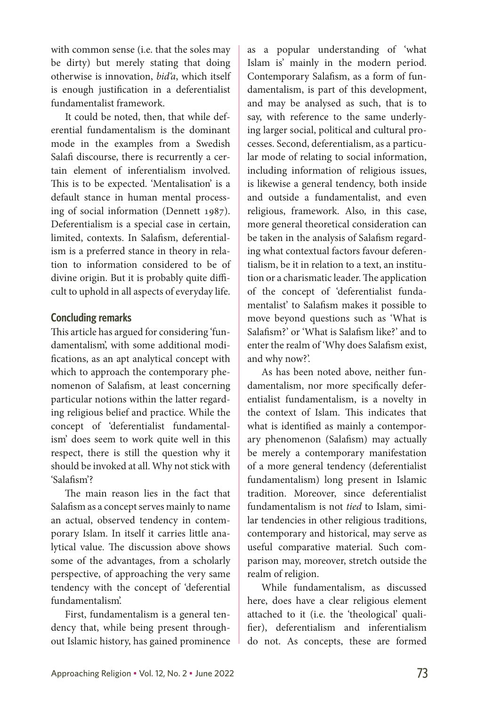with common sense (i.e. that the soles may be dirty) but merely stating that doing otherwise is innovation, *bid'a*, which itself is enough justification in a deferentialist fundamentalist framework.

It could be noted, then, that while deferential fundamentalism is the dominant mode in the examples from a Swedish Salafi discourse, there is recurrently a certain element of inferentialism involved. This is to be expected. 'Mentalisation' is a default stance in human mental processing of social information (Dennett 1987). Deferentialism is a special case in certain, limited, contexts. In Salafism, deferentialism is a preferred stance in theory in relation to information considered to be of divine origin. But it is probably quite difficult to uphold in all aspects of everyday life.

## **Concluding remarks**

This article has argued for considering 'fundamentalism', with some additional modifications, as an apt analytical concept with which to approach the contemporary phenomenon of Salafism, at least concerning particular notions within the latter regarding religious belief and practice. While the concept of 'deferentialist fundamentalism' does seem to work quite well in this respect, there is still the question why it should be invoked at all. Why not stick with 'Salafism'?

The main reason lies in the fact that Salafism as a concept serves mainly to name an actual, observed tendency in contemporary Islam. In itself it carries little analytical value. The discussion above shows some of the advantages, from a scholarly perspective, of approaching the very same tendency with the concept of 'deferential fundamentalism'.

First, fundamentalism is a general tendency that, while being present throughout Islamic history, has gained prominence as a popular understanding of 'what Islam is' mainly in the modern period. Contemporary Salafism, as a form of fundamentalism, is part of this development, and may be analysed as such, that is to say, with reference to the same underlying larger social, political and cultural processes. Second, deferentialism, as a particular mode of relating to social information, including information of religious issues, is likewise a general tendency, both inside and outside a fundamentalist, and even religious, framework. Also, in this case, more general theoretical consideration can be taken in the analysis of Salafism regarding what contextual factors favour deferentialism, be it in relation to a text, an institution or a charismatic leader. The application of the concept of 'deferentialist fundamentalist' to Salafism makes it possible to move beyond questions such as 'What is Salafism?' or 'What is Salafism like?' and to enter the realm of 'Why does Salafism exist, and why now?'.

As has been noted above, neither fundamentalism, nor more specifically deferentialist fundamentalism, is a novelty in the context of Islam. This indicates that what is identified as mainly a contemporary phenomenon (Salafism) may actually be merely a contemporary manifestation of a more general tendency (deferentialist fundamentalism) long present in Islamic tradition. Moreover, since deferentialist fundamentalism is not *tied* to Islam, similar tendencies in other religious traditions, contemporary and historical, may serve as useful comparative material. Such comparison may, moreover, stretch outside the realm of religion.

While fundamentalism, as discussed here, does have a clear religious element attached to it (i.e. the 'theological' qualifier), deferentialism and inferentialism do not. As concepts, these are formed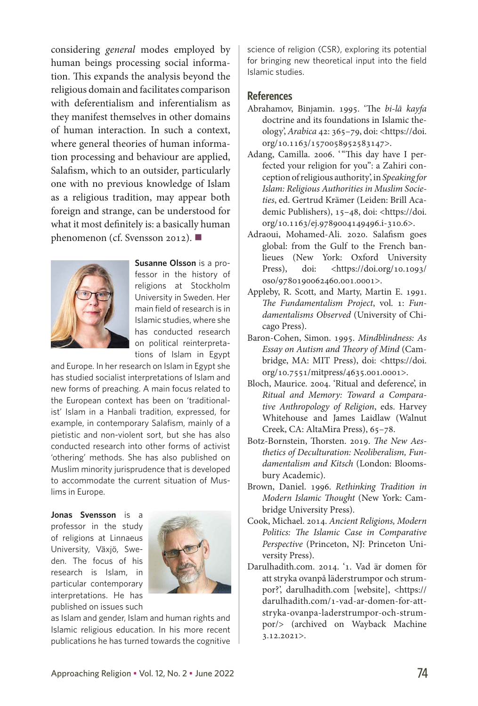considering *general* modes employed by human beings processing social information. This expands the analysis beyond the religious domain and facilitates comparison with deferentialism and inferentialism as they manifest themselves in other domains of human interaction. In such a context, where general theories of human information processing and behaviour are applied, Salafism, which to an outsider, particularly one with no previous knowledge of Islam as a religious tradition, may appear both foreign and strange, can be understood for what it most definitely is: a basically human phenomenon (cf. Svensson 2012). ■



**Susanne Olsson** is a professor in the history of religions at Stockholm University in Sweden. Her main field of research is in Islamic studies, where she has conducted research on political reinterpretations of Islam in Egypt

and Europe. In her research on Islam in Egypt she has studied socialist interpretations of Islam and new forms of preaching. A main focus related to the European context has been on 'traditionalist' Islam in a Hanbali tradition, expressed, for example, in contemporary Salafism, mainly of a pietistic and non-violent sort, but she has also conducted research into other forms of activist 'othering' methods. She has also published on Muslim minority jurisprudence that is developed to accommodate the current situation of Muslims in Europe.

**Jonas Svensson** is a professor in the study of religions at Linnaeus University, Växjö, Sweden. The focus of his research is Islam, in particular contemporary interpretations. He has published on issues such



as Islam and gender, Islam and human rights and Islamic religious education. In his more recent publications he has turned towards the cognitive science of religion (CSR), exploring its potential for bringing new theoretical input into the field Islamic studies.

#### **References**

- Abrahamov, Binjamin. 1995. 'The *bi-lā kayfa* doctrine and its foundations in Islamic theology', *Arabica* 42: 365–79, doi: <https://doi. org/10.1163/1570058952583147>.
- Adang, Camilla. 2006. '"This day have I perfected your religion for you": a Zahiri conception of religious authority', in *Speaking for Islam: Religious Authorities in Muslim Societies*, ed. Gertrud Krämer (Leiden: Brill Academic Publishers), 15–48, doi: <https://doi. org/10.1163/ej.9789004149496.i-310.6>.
- Adraoui, Mohamed-Ali. 2020. Salafism goes global: from the Gulf to the French banlieues (New York: Oxford University Press), doi: <https://doi.org/10.1093/ oso/9780190062460.001.0001>.
- Appleby, R. Scott, and Marty, Martin E. 1991. *The Fundamentalism Project*, vol. 1: *Fundamentalisms Observed* (University of Chicago Press).
- Baron-Cohen, Simon. 1995. *Mindblindness: As Essay on Autism and Theory of Mind* (Cambridge, MA: MIT Press), doi: <https://doi. org/10.7551/mitpress/4635.001.0001>.
- Bloch, Maurice. 2004. 'Ritual and deference', in *Ritual and Memory: Toward a Comparative Anthropology of Religion*, eds. Harvey Whitehouse and James Laidlaw (Walnut Creek, CA: AltaMira Press), 65–78.
- Botz-Bornstein, Thorsten. 2019. *The New Aesthetics of Deculturation: Neoliberalism, Fundamentalism and Kitsch* (London: Bloomsbury Academic).
- Brown, Daniel. 1996. *Rethinking Tradition in Modern Islamic Thought* (New York: Cambridge University Press).
- Cook, Michael. 2014. *Ancient Religions, Modern Politics: The Islamic Case in Comparative Perspective* (Princeton, NJ: Princeton University Press).
- Darulhadith.com. 2014. '1. Vad är domen för att stryka ovanpå läderstrumpor och strumpor?', darulhadith.com [website], <https:// darulhadith.com/1-vad-ar-domen-for-attstryka-ovanpa-laderstrumpor-och-strumpor/> (archived on Wayback Machine 3.12.2021>.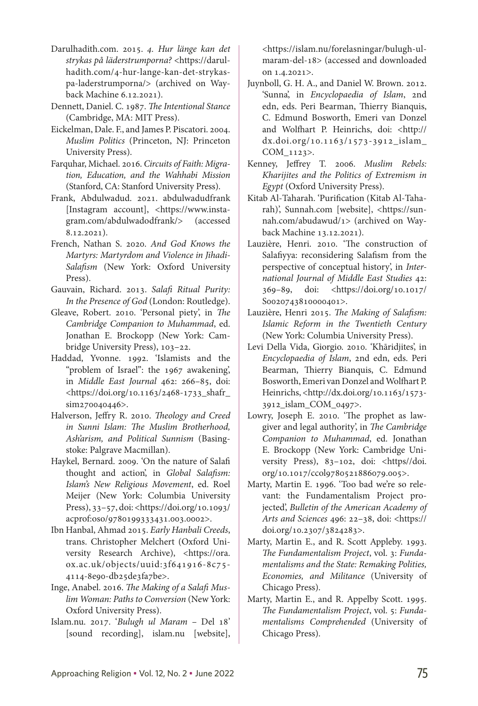- Darulhadith.com. 2015. *4. Hur länge kan det strykas på läderstrumporna?* <https://darulhadith.com/4-hur-lange-kan-det-strykaspa-laderstrumporna/> (archived on Wayback Machine 6.12.2021).
- Dennett, Daniel. C. 1987. *The Intentional Stance* (Cambridge, MA: MIT Press).
- Eickelman, Dale. F., and James P. Piscatori. 2004. *Muslim Politics* (Princeton, NJ: Princeton University Press).
- Farquhar, Michael. 2016. *Circuits of Faith: Migration, Education, and the Wahhabi Mission* (Stanford, CA: Stanford University Press).
- Frank, Abdulwadud. 2021. abdulwadudfrank [Instagram account], <https://www.instagram.com/abdulwadodfrank/> (accessed 8.12.2021).
- French, Nathan S. 2020. *And God Knows the Martyrs: Martyrdom and Violence in Jihadi-Salafism* (New York: Oxford University Press).
- Gauvain, Richard. 2013. *Salafi Ritual Purity: In the Presence of God* (London: Routledge).
- Gleave, Robert. 2010. 'Personal piety', in *The Cambridge Companion to Muhammad*, ed. Jonathan E. Brockopp (New York: Cambridge University Press), 103–22.
- Haddad, Yvonne. 1992. 'Islamists and the "problem of Israel": the 1967 awakening', in *Middle East Journal* 462: 266–85, doi: <https://doi.org/10.1163/2468-1733\_shafr\_ sim270040446>.
- Halverson, Jeffry R. 2010. *Theology and Creed in Sunni Islam: The Muslim Brotherhood, Ash'arism, and Political Sunnism* (Basingstoke: Palgrave Macmillan).
- Haykel, Bernard. 2009. 'On the nature of Salafi thought and action', in *Global Salafism: Islam's New Religious Movement*, ed. Roel Meijer (New York: Columbia University Press), 33–57, doi: <https://doi.org/10.1093/ acprof:oso/9780199333431.003.0002>.
- Ibn Hanbal, Ahmad 2015. *Early Hanbali Creeds*, trans. Christopher Melchert (Oxford University Research Archive), <https://ora. ox.ac.uk/objects/uuid:3f641916-8c75- 4114-8e90-db25de3fa7be>.
- Inge, Anabel. 2016. *The Making of a Salafi Muslim Woman: Paths to Conversion* (New York: Oxford University Press).
- Islam.nu. 2017. '*Bulugh ul Maram*  Del 18' [sound recording], islam.nu [website],

<https://islam.nu/forelasningar/bulugh-ulmaram-del-18> (accessed and downloaded on 1.4.2021>.

- Juynboll, G. H. A., and Daniel W. Brown. 2012. 'Sunna', in *Encyclopaedia of Islam*, 2nd edn, eds. Peri Bearman, Thierry Bianquis, C. Edmund Bosworth, Emeri van Donzel and Wolfhart P. Heinrichs, doi: <http:// dx.doi.org/10.1163/1573-3912\_islam\_ COM\_1123>.
- Kenney, Jeffrey T. 2006. *Muslim Rebels: Kharijites and the Politics of Extremism in Egypt* (Oxford University Press).
- Kitab Al-Taharah. 'Purification (Kitab Al-Taharah)', Sunnah.com [website], <https://sunnah.com/abudawud/1> (archived on Wayback Machine 13.12.2021).
- Lauzière, Henri. 2010. 'The construction of Salafiyya: reconsidering Salafism from the perspective of conceptual history', in *International Journal of Middle East Studies* 42: 369–89, doi: <https://doi.org/10.1017/ S0020743810000401>.
- Lauzière, Henri 2015. *The Making of Salafism: Islamic Reform in the Twentieth Century* (New York: Columbia University Press).
- Levi Della Vida, Giorgio. 2010. 'Khāridjites', in *Encyclopaedia of Islam*, 2nd edn, eds. Peri Bearman, Thierry Bianquis, C. Edmund Bosworth, Emeri van Donzel and Wolfhart P. Heinrichs, <[http://dx.doi.org/10.1163/1573-](http://dx.doi.org/10.1163/1573-3912_islam_COM_0497) [3912\\_islam\\_COM\\_0497](http://dx.doi.org/10.1163/1573-3912_islam_COM_0497)>.
- Lowry, Joseph E. 2010. 'The prophet as lawgiver and legal authority', in *The Cambridge Companion to Muhammad*, ed. Jonathan E. Brockopp (New York: Cambridge University Press), 83-102, doi: <https//doi. org/10.1017/ccol9780521886079.005>.
- Marty, Martin E. 1996. 'Too bad we're so relevant: the Fundamentalism Project projected', *Bulletin of the American Academy of Arts and Sciences* 496: 22–38, doi: <https:// doi.org/10.2307/3824283>.
- Marty, Martin E., and R. Scott Appleby. 1993. *The Fundamentalism Project*, vol. 3: *Fundamentalisms and the State: Remaking Polities, Economies, and Militance* (University of Chicago Press).
- Marty, Martin E., and R. Appelby Scott. 1995. *The Fundamentalism Project*, vol. 5: *Fundamentalisms Comprehended* (University of Chicago Press).